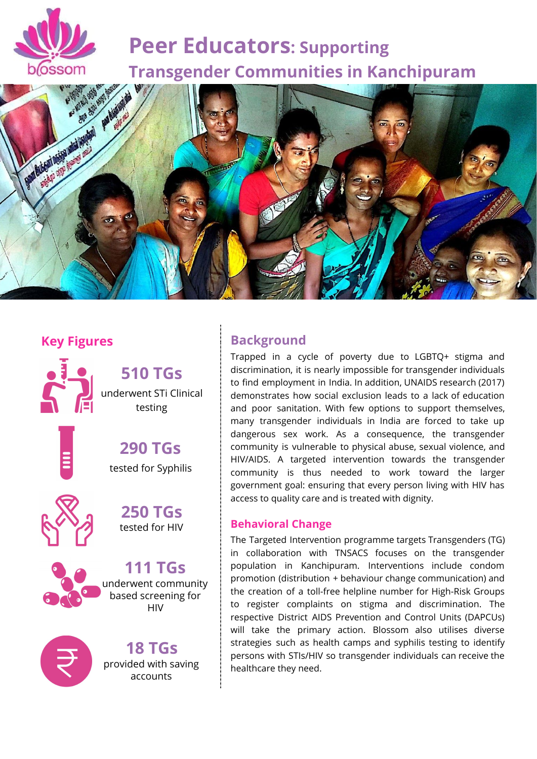

# **Peer Educators: Supporting Transgender Communities in Kanchipuram**



# **Key Figures**



**510 TGs** underwent STi Clinical testing

**290 TGs** tested for Syphilis



**250 TGs** tested for HIV



**111 TGs** underwent community based screening for HIV



**18 TGs** provided with saving accounts

## **Background**

Trapped in a cycle of poverty due to LGBTQ+ stigma and discrimination, it is nearly impossible for transgender individuals to find employment in India. In addition, UNAIDS research (2017) demonstrates how social exclusion leads to a lack of education and poor sanitation. With few options to support themselves, many transgender individuals in India are forced to take up dangerous sex work. As a consequence, the transgender community is vulnerable to physical abuse, sexual violence, and HIV/AIDS. A targeted intervention towards the transgender community is thus needed to work toward the larger government goal: ensuring that every person living with HIV has access to quality care and is treated with dignity.

## **Behavioral Change**

The Targeted Intervention programme targets Transgenders (TG) in collaboration with TNSACS focuses on the transgender population in Kanchipuram. Interventions include condom promotion (distribution + behaviour change communication) and the creation of a toll-free helpline number for High-Risk Groups to register complaints on stigma and discrimination. The respective District AIDS Prevention and Control Units (DAPCUs) will take the primary action. Blossom also utilises diverse strategies such as health camps and syphilis testing to identify persons with STIs/HIV so transgender individuals can receive the healthcare they need.